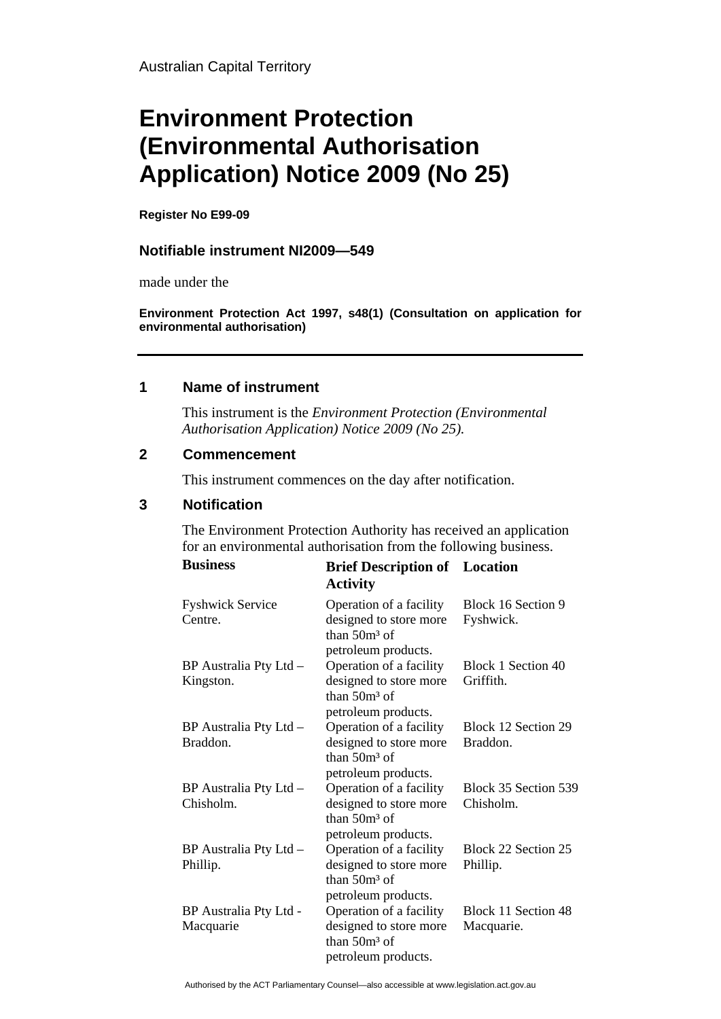# **Environment Protection (Environmental Authorisation Application) Notice 2009 (No 25)**

**Register No E99-09** 

## **Notifiable instrument NI2009—549**

made under the

**Environment Protection Act 1997, s48(1) (Consultation on application for environmental authorisation)**

#### **1 Name of instrument**

This instrument is the *Environment Protection (Environmental Authorisation Application) Notice 2009 (No 25).* 

### **2 Commencement**

This instrument commences on the day after notification.

#### **3 Notification**

The Environment Protection Authority has received an application for an environmental authorisation from the following business.

| <b>Business</b>                     | <b>Brief Description of</b> Location<br><b>Activity</b>                                     |                                   |
|-------------------------------------|---------------------------------------------------------------------------------------------|-----------------------------------|
| <b>Fyshwick Service</b><br>Centre.  | Operation of a facility<br>designed to store more<br>than $50m3$ of<br>petroleum products.  | Block 16 Section 9<br>Fyshwick.   |
| BP Australia Pty Ltd -<br>Kingston. | Operation of a facility<br>designed to store more<br>than $50m^3$ of<br>petroleum products. | Block 1 Section 40<br>Griffith.   |
| BP Australia Pty Ltd -<br>Braddon.  | Operation of a facility<br>designed to store more<br>than $50m^3$ of<br>petroleum products. | Block 12 Section 29<br>Braddon.   |
| BP Australia Pty Ltd -<br>Chisholm. | Operation of a facility<br>designed to store more<br>than $50m3$ of<br>petroleum products.  | Block 35 Section 539<br>Chisholm. |
| BP Australia Pty Ltd -<br>Phillip.  | Operation of a facility<br>designed to store more<br>than $50m^3$ of<br>petroleum products. | Block 22 Section 25<br>Phillip.   |
| BP Australia Pty Ltd -<br>Macquarie | Operation of a facility<br>designed to store more<br>than $50m^3$ of<br>petroleum products. | Block 11 Section 48<br>Macquarie. |